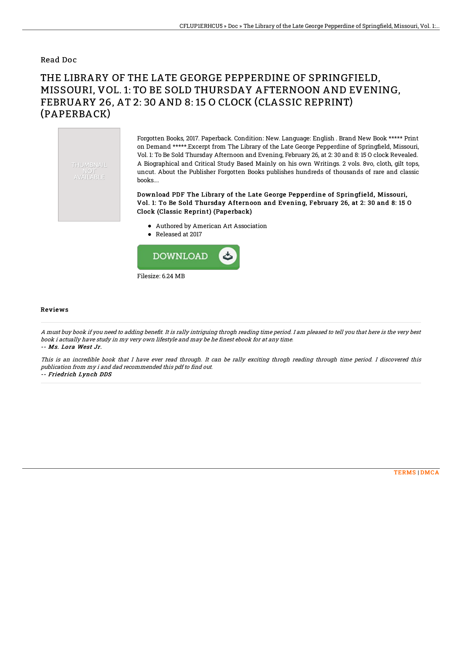## Read Doc

## THE LIBRARY OF THE LATE GEORGE PEPPERDINE OF SPRINGFIELD, MISSOURI, VOL. 1: TO BE SOLD THURSDAY AFTERNOON AND EVENING, FEBRUARY 26, AT 2: 30 AND 8: 15 O CLOCK (CLASSIC REPRINT) (PAPERBACK)



Forgotten Books, 2017. Paperback. Condition: New. Language: English . Brand New Book \*\*\*\*\* Print on Demand \*\*\*\*\*.Excerpt from The Library of the Late George Pepperdine of Springfield, Missouri, Vol. 1: To Be Sold Thursday Afternoon and Evening, February 26, at 2: 30 and 8: 15 O clock Revealed. A Biographical and Critical Study Based Mainly on his own Writings. 2 vols. 8vo, cloth, gilt tops, uncut. About the Publisher Forgotten Books publishes hundreds of thousands of rare and classic books....

Download PDF The Library of the Late George Pepperdine of Springfield, Missouri, Vol. 1: To Be Sold Thursday Afternoon and Evening, February 26, at 2: 30 and 8: 15 O Clock (Classic Reprint) (Paperback)

- Authored by American Art Association
- Released at 2017



## Reviews

A must buy book if you need to adding benefit. It is rally intriguing throgh reading time period. I am pleased to tell you that here is the very best book i actually have study in my very own lifestyle and may be he finest ebook for at any time. -- Ms. Lora West Jr.

This is an incredible book that I have ever read through. It can be rally exciting throgh reading through time period. I discovered this publication from my i and dad recommended this pdf to find out. -- Friedrich Lynch DDS